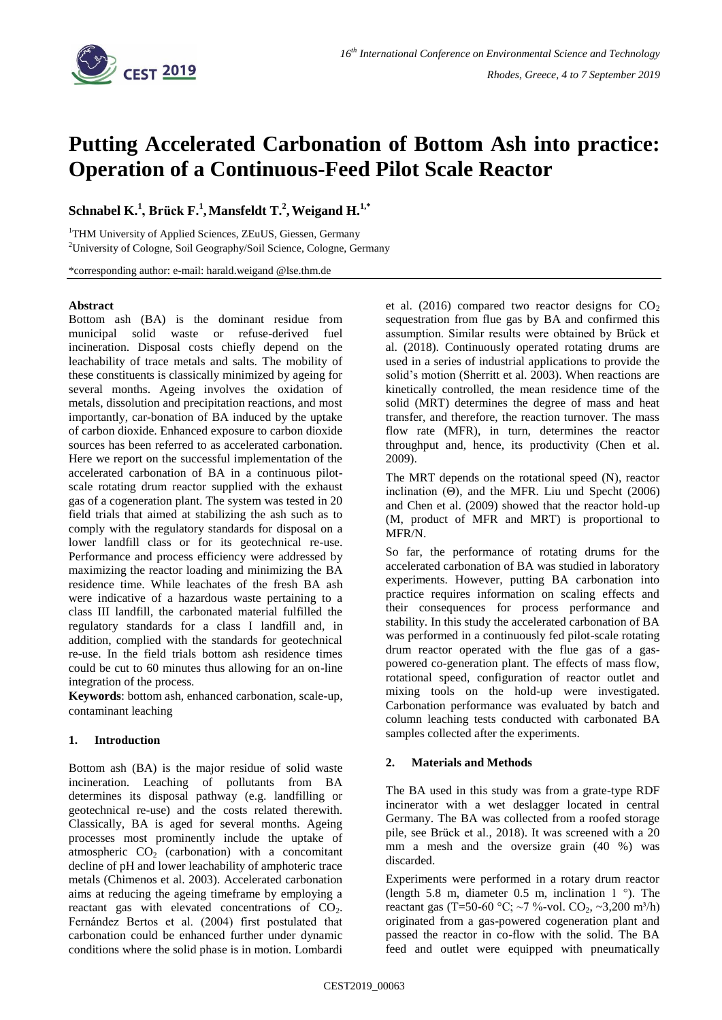

# **Putting Accelerated Carbonation of Bottom Ash into practice: Operation of a Continuous-Feed Pilot Scale Reactor**

# $\mathbf{Schnabel\ }\mathbf{K.}^1,\mathbf{Brück\ }\mathbf{F.}^1,\mathbf{Mansfeldt\ }\mathbf{T.}^2,\mathbf{Weight\ }\mathbf{H.}^{1,*}$

<sup>1</sup>THM University of Applied Sciences, ZEuUS, Giessen, Germany <sup>2</sup>University of Cologne, Soil Geography/Soil Science, Cologne, Germany

\*corresponding author: e-mail: harald.weigand @lse.thm.de

### **Abstract**

Bottom ash (BA) is the dominant residue from municipal solid waste or refuse-derived fuel incineration. Disposal costs chiefly depend on the leachability of trace metals and salts. The mobility of these constituents is classically minimized by ageing for several months. Ageing involves the oxidation of metals, dissolution and precipitation reactions, and most importantly, car-bonation of BA induced by the uptake of carbon dioxide. Enhanced exposure to carbon dioxide sources has been referred to as accelerated carbonation. Here we report on the successful implementation of the accelerated carbonation of BA in a continuous pilotscale rotating drum reactor supplied with the exhaust gas of a cogeneration plant. The system was tested in 20 field trials that aimed at stabilizing the ash such as to comply with the regulatory standards for disposal on a lower landfill class or for its geotechnical re-use. Performance and process efficiency were addressed by maximizing the reactor loading and minimizing the BA residence time. While leachates of the fresh BA ash were indicative of a hazardous waste pertaining to a class III landfill, the carbonated material fulfilled the regulatory standards for a class I landfill and, in addition, complied with the standards for geotechnical re-use. In the field trials bottom ash residence times could be cut to 60 minutes thus allowing for an on-line integration of the process.

**Keywords**: bottom ash, enhanced carbonation, scale-up, contaminant leaching

# **1. Introduction**

Bottom ash (BA) is the major residue of solid waste incineration. Leaching of pollutants from BA determines its disposal pathway (e.g. landfilling or geotechnical re-use) and the costs related therewith. Classically, BA is aged for several months. Ageing processes most prominently include the uptake of atmospheric  $CO<sub>2</sub>$  (carbonation) with a concomitant decline of pH and lower leachability of amphoteric trace metals (Chimenos et al. 2003). Accelerated carbonation aims at reducing the ageing timeframe by employing a reactant gas with elevated concentrations of  $CO<sub>2</sub>$ . Fernández Bertos et al. (2004) first postulated that carbonation could be enhanced further under dynamic conditions where the solid phase is in motion. Lombardi et al. (2016) compared two reactor designs for  $CO<sub>2</sub>$ sequestration from flue gas by BA and confirmed this assumption. Similar results were obtained by Brück et al. (2018). Continuously operated rotating drums are used in a series of industrial applications to provide the solid's motion (Sherritt et al. 2003). When reactions are kinetically controlled, the mean residence time of the solid (MRT) determines the degree of mass and heat transfer, and therefore, the reaction turnover. The mass flow rate (MFR), in turn, determines the reactor throughput and, hence, its productivity (Chen et al. 2009).

The MRT depends on the rotational speed (N), reactor inclination  $(\Theta)$ , and the MFR. Liu und Specht (2006) and Chen et al. (2009) showed that the reactor hold-up (M, product of MFR and MRT) is proportional to MFR/N.

So far, the performance of rotating drums for the accelerated carbonation of BA was studied in laboratory experiments. However, putting BA carbonation into practice requires information on scaling effects and their consequences for process performance and stability. In this study the accelerated carbonation of BA was performed in a continuously fed pilot-scale rotating drum reactor operated with the flue gas of a gaspowered co-generation plant. The effects of mass flow, rotational speed, configuration of reactor outlet and mixing tools on the hold-up were investigated. Carbonation performance was evaluated by batch and column leaching tests conducted with carbonated BA samples collected after the experiments.

# **2. Materials and Methods**

The BA used in this study was from a grate-type RDF incinerator with a wet deslagger located in central Germany. The BA was collected from a roofed storage pile, see Brück et al., 2018). It was screened with a 20 mm a mesh and the oversize grain (40 %) was discarded.

Experiments were performed in a rotary drum reactor (length 5.8 m, diameter 0.5 m, inclination 1 °). The reactant gas (T=50-60 °C; ~7 %-vol.  $CO_2$ , ~3,200 m<sup>3</sup>/h) originated from a gas-powered cogeneration plant and passed the reactor in co-flow with the solid. The BA feed and outlet were equipped with pneumatically